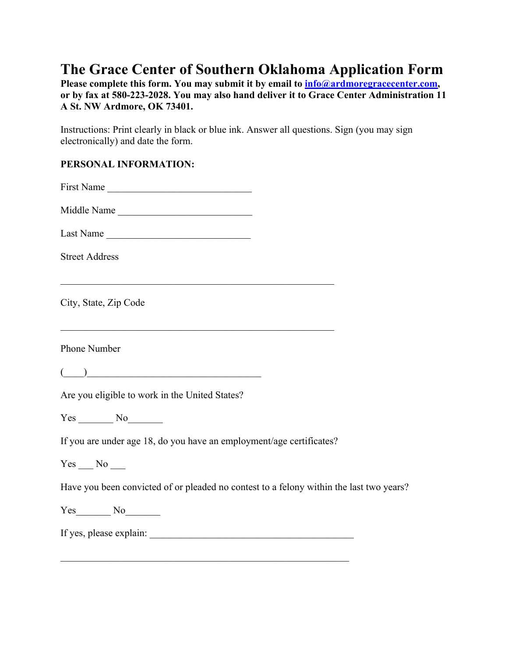# **The Grace Center of Southern Oklahoma Application Form**

Please complete this form. You may submit it by email to  $\frac{info@ardmoregracecenter.com}{info@ordmoregracecenter.com}$ **or by fax at 580-223-2028. You may also hand deliver it to Grace Center Administration 11 A St. NW Ardmore, OK 73401.** 

Instructions: Print clearly in black or blue ink. Answer all questions. Sign (you may sign electronically) and date the form.

### **PERSONAL INFORMATION:**

| First Name                                                                                                                                                                                              |
|---------------------------------------------------------------------------------------------------------------------------------------------------------------------------------------------------------|
| Middle Name                                                                                                                                                                                             |
| Last Name                                                                                                                                                                                               |
| <b>Street Address</b>                                                                                                                                                                                   |
|                                                                                                                                                                                                         |
| City, State, Zip Code                                                                                                                                                                                   |
|                                                                                                                                                                                                         |
| Phone Number                                                                                                                                                                                            |
| $\begin{tabular}{ c c c c } \hline \quad \quad & \quad \quad & \quad \quad \\ \hline \quad \quad & \quad \quad & \quad \quad \\ \hline \quad \quad & \quad \quad & \quad \quad \\ \hline \end{tabular}$ |
| Are you eligible to work in the United States?                                                                                                                                                          |
| $Yes$ No $N$                                                                                                                                                                                            |
| If you are under age 18, do you have an employment/age certificates?                                                                                                                                    |
| $Yes$ No ______                                                                                                                                                                                         |
| Have you been convicted of or pleaded no contest to a felony within the last two years?                                                                                                                 |
| $Yes$ No $N$                                                                                                                                                                                            |
|                                                                                                                                                                                                         |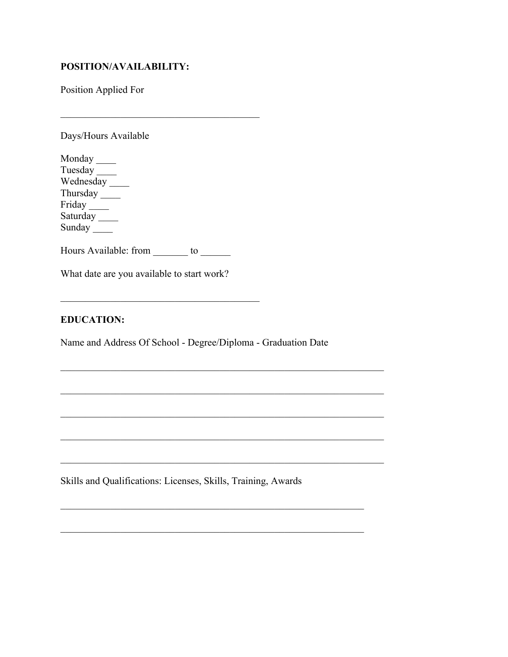#### **POSITION/AVAILABILITY:**

Position Applied For

Days/Hours Available

Monday \_\_\_\_ Tuesday \_\_\_\_\_\_\_ Wednesday \_\_\_\_ Thursday \_\_\_\_\_\_\_ Friday \_\_\_\_\_\_\_ Saturday \_\_\_\_ Sunday \_\_\_\_

Hours Available: from \_\_\_\_\_\_\_ to \_\_\_\_\_\_

What date are you available to start work?

#### **EDUCATION:**

Name and Address Of School - Degree/Diploma - Graduation Date

 $\mathcal{L}_\mathcal{L} = \mathcal{L}_\mathcal{L} = \mathcal{L}_\mathcal{L} = \mathcal{L}_\mathcal{L} = \mathcal{L}_\mathcal{L} = \mathcal{L}_\mathcal{L} = \mathcal{L}_\mathcal{L} = \mathcal{L}_\mathcal{L} = \mathcal{L}_\mathcal{L} = \mathcal{L}_\mathcal{L} = \mathcal{L}_\mathcal{L} = \mathcal{L}_\mathcal{L} = \mathcal{L}_\mathcal{L} = \mathcal{L}_\mathcal{L} = \mathcal{L}_\mathcal{L} = \mathcal{L}_\mathcal{L} = \mathcal{L}_\mathcal{L}$ 

Skills and Qualifications: Licenses, Skills, Training, Awards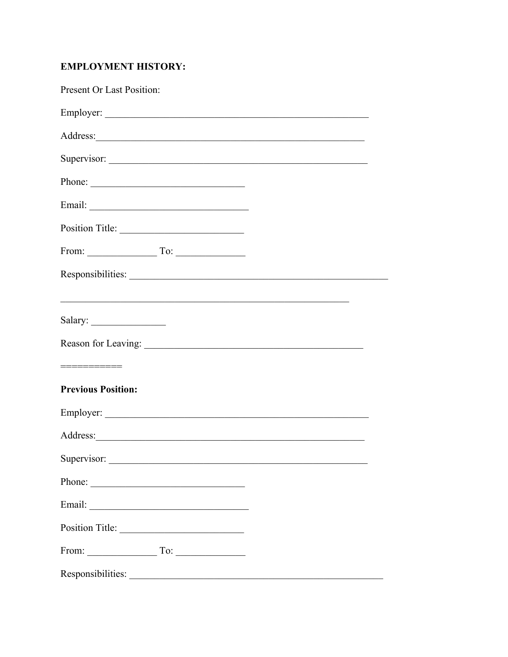## **EMPLOYMENT HISTORY:**

| <b>Present Or Last Position:</b>                            |
|-------------------------------------------------------------|
|                                                             |
|                                                             |
|                                                             |
| Phone:                                                      |
|                                                             |
| Position Title:                                             |
| From: $\qquad \qquad \qquad$ To: $\qquad \qquad$            |
|                                                             |
| <u> 1989 - Johann Stoff, amerikansk politiker (d. 1989)</u> |
| Salary:                                                     |
|                                                             |
| ===========                                                 |
| <b>Previous Position:</b>                                   |
|                                                             |
|                                                             |
| Supervisor:                                                 |
| Phone:                                                      |
|                                                             |
| Position Title:                                             |
| From: $\qquad \qquad \text{To:} \qquad$                     |
| Responsibilities:                                           |